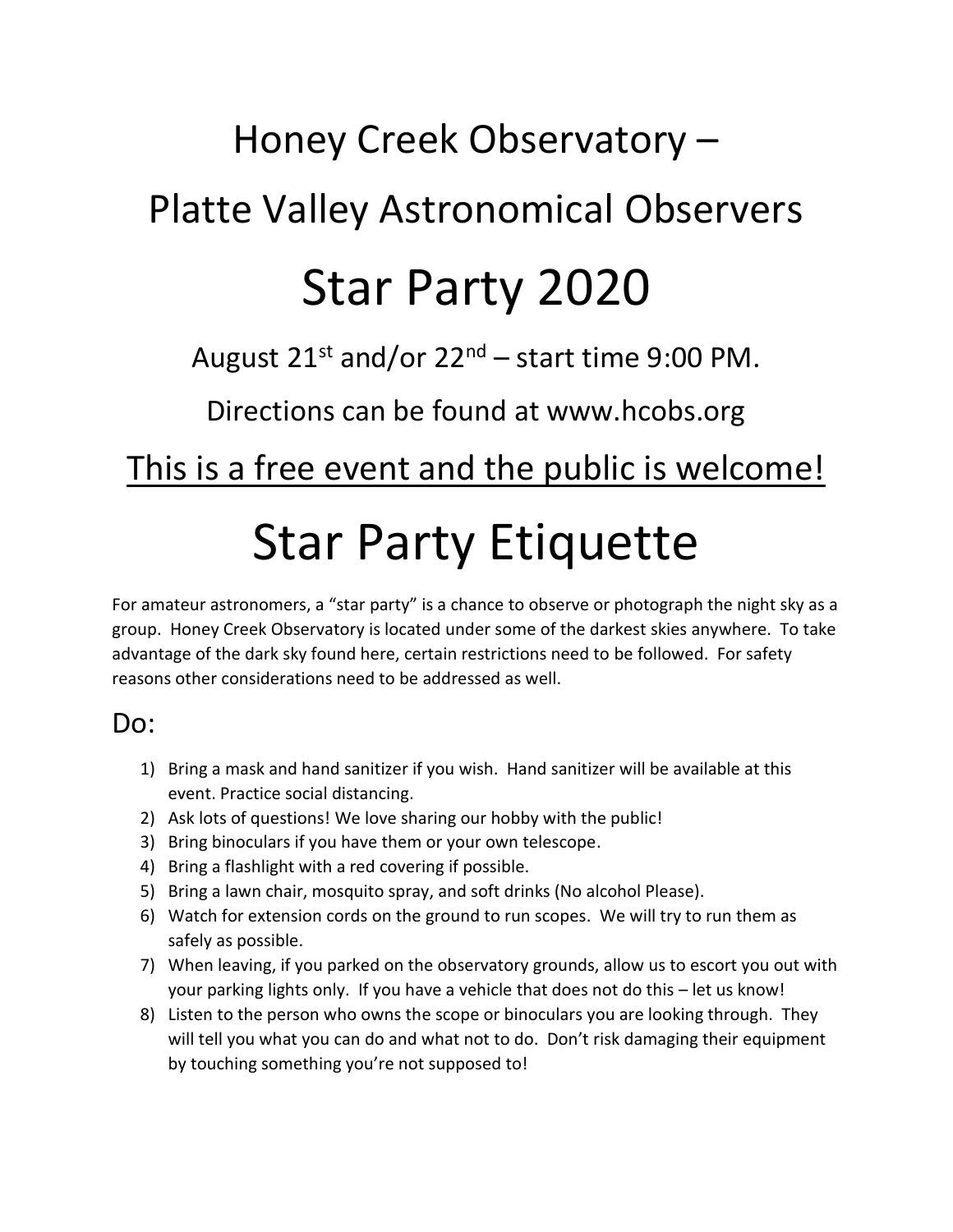# Honey Creek Observatory – Platte Valley Astronomical Observers

## Star Party 2020

August  $21^{st}$  and/or  $22^{nd}$  – start time 9:00 PM.

Directions can be found at www.hcobs.org

### This is a free event and the public is welcome!

# Star Party Etiquette

For amateur astronomers, a "star party" is a chance to observe or photograph the night sky as a group. Honey Creek Observatory is located under some of the darkest skies anywhere. To take advantage of the dark sky found here, certain restrictions need to be followed. For safety reasons other considerations need to be addressed as well.

#### Do:

- 1) Bring a mask and hand sanitizer if you wish. Hand sanitizer will be available at this event. Practice social distancing.
- 2) Ask lots of questions! We love sharing our hobby with the public!
- 3) Bring binoculars if you have them or your own telescope.
- 4) Bring a flashlight with a red covering if possible.
- 5) Bring a lawn chair, mosquito spray, and soft drinks (No alcohol Please).
- 6) Watch for extension cords on the ground to run scopes. We will try to run them as safely as possible.
- 7) When leaving, if you parked on the observatory grounds, allow us to escort you out with your parking lights only. If you have a vehicle that does not do this – let us know!
- 8) Listen to the person who owns the scope or binoculars you are looking through. They will tell you what you can do and what not to do. Don't risk damaging their equipment by touching something you're not supposed to!